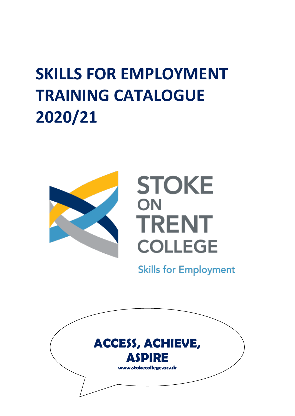## **SKILLS FOR EMPLOYMENT TRAINING CATALOGUE 2020/21**



# **STOKE** ON **TRENT COLLEGE**

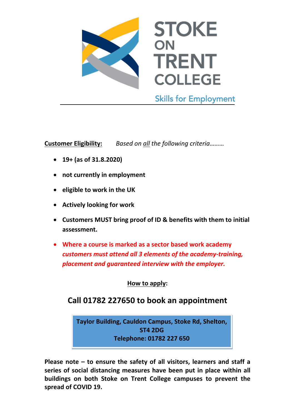

**Customer Eligibility:** *Based on all the following criteria………*

**19+ (as of 31.8.2020)**

- **not currently in employment**
- **eligible to work in the UK**
- **Actively looking for work**
- **Customers MUST bring proof of ID & benefits with them to initial assessment.**
- **Where a course is marked as a sector based work academy**  *customers must attend all 3 elements of the academy-training, placement and guaranteed interview with the employer.*

**How to apply:**

## **Call 01782 227650 to book an appointment**

**Taylor Building, Cauldon Campus, Stoke Rd, Shelton, ST4 2DG Telephone: 01782 227 650**

**Please note – to ensure the safety of all visitors, learners and staff a series of social distancing measures have been put in place within all buildings on both Stoke on Trent College campuses to prevent the spread of COVID 19.**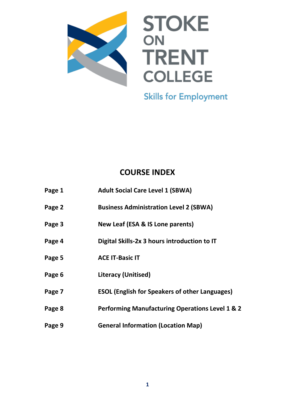

# **STOKE TRENT COLLEGE**

**Skills for Employment** 

## **COURSE INDEX**

| Page 1 | <b>Adult Social Care Level 1 (SBWA)</b>                    |
|--------|------------------------------------------------------------|
| Page 2 | <b>Business Administration Level 2 (SBWA)</b>              |
| Page 3 | New Leaf (ESA & IS Lone parents)                           |
| Page 4 | Digital Skills-2x 3 hours introduction to IT               |
| Page 5 | <b>ACE IT-Basic IT</b>                                     |
| Page 6 | <b>Literacy (Unitised)</b>                                 |
| Page 7 | <b>ESOL (English for Speakers of other Languages)</b>      |
| Page 8 | <b>Performing Manufacturing Operations Level 1 &amp; 2</b> |
| Page 9 | <b>General Information (Location Map)</b>                  |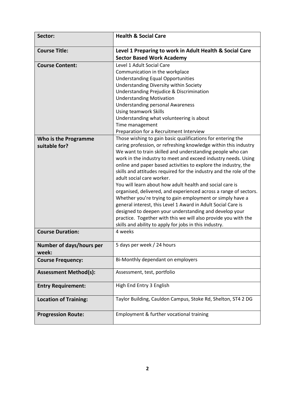| Sector:                      | <b>Health &amp; Social Care</b>                                                             |
|------------------------------|---------------------------------------------------------------------------------------------|
| <b>Course Title:</b>         | Level 1 Preparing to work in Adult Health & Social Care<br><b>Sector Based Work Academy</b> |
| <b>Course Content:</b>       | Level 1 Adult Social Care                                                                   |
|                              | Communication in the workplace                                                              |
|                              | <b>Understanding Equal Opportunities</b>                                                    |
|                              | Understanding Diversity within Society                                                      |
|                              | Understanding Prejudice & Discrimination                                                    |
|                              | <b>Understanding Motivation</b>                                                             |
|                              | <b>Understanding personal Awareness</b>                                                     |
|                              | Using teamwork Skills                                                                       |
|                              | Understanding what volunteering is about                                                    |
|                              | Time management                                                                             |
|                              | Preparation for a Recruitment Interview                                                     |
| Who is the Programme         | Those wishing to gain basic qualifications for entering the                                 |
| suitable for?                | caring profession, or refreshing knowledge within this industry                             |
|                              | We want to train skilled and understanding people who can                                   |
|                              | work in the industry to meet and exceed industry needs. Using                               |
|                              | online and paper based activities to explore the industry, the                              |
|                              | skills and attitudes required for the industry and the role of the                          |
|                              | adult social care worker.                                                                   |
|                              | You will learn about how adult health and social care is                                    |
|                              | organised, delivered, and experienced across a range of sectors.                            |
|                              | Whether you're trying to gain employment or simply have a                                   |
|                              | general interest, this Level 1 Award in Adult Social Care is                                |
|                              | designed to deepen your understanding and develop your                                      |
|                              | practice. Together with this we will also provide you with the                              |
|                              | skills and ability to apply for jobs in this industry.                                      |
| <b>Course Duration:</b>      | 4 weeks                                                                                     |
| Number of days/hours per     | 5 days per week / 24 hours                                                                  |
| week:                        |                                                                                             |
| <b>Course Frequency:</b>     | Bi-Monthly dependant on employers                                                           |
| <b>Assessment Method(s):</b> | Assessment, test, portfolio                                                                 |
| <b>Entry Requirement:</b>    | High End Entry 3 English                                                                    |
| <b>Location of Training:</b> | Taylor Building, Cauldon Campus, Stoke Rd, Shelton, ST4 2 DG                                |
| <b>Progression Route:</b>    | Employment & further vocational training                                                    |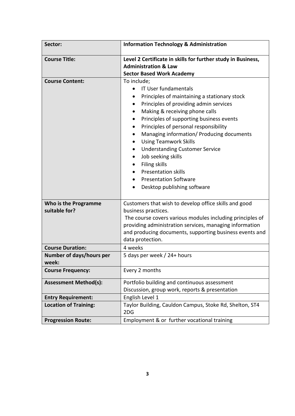| Sector:                           | <b>Information Technology &amp; Administration</b>                                                                                                                                                                                                                                                                                                                                                                                                     |
|-----------------------------------|--------------------------------------------------------------------------------------------------------------------------------------------------------------------------------------------------------------------------------------------------------------------------------------------------------------------------------------------------------------------------------------------------------------------------------------------------------|
| <b>Course Title:</b>              | Level 2 Certificate in skills for further study in Business,                                                                                                                                                                                                                                                                                                                                                                                           |
|                                   | <b>Administration &amp; Law</b>                                                                                                                                                                                                                                                                                                                                                                                                                        |
|                                   | <b>Sector Based Work Academy</b>                                                                                                                                                                                                                                                                                                                                                                                                                       |
| <b>Course Content:</b>            | To include;<br><b>IT User fundamentals</b><br>Principles of maintaining a stationary stock<br>Principles of providing admin services<br>Making & receiving phone calls<br>Principles of supporting business events<br>Principles of personal responsibility<br>Managing information/ Producing documents<br><b>Using Teamwork Skills</b><br><b>Understanding Customer Service</b><br>Job seeking skills<br>Filing skills<br><b>Presentation skills</b> |
|                                   | <b>Presentation Software</b>                                                                                                                                                                                                                                                                                                                                                                                                                           |
|                                   | Desktop publishing software<br>$\bullet$                                                                                                                                                                                                                                                                                                                                                                                                               |
|                                   |                                                                                                                                                                                                                                                                                                                                                                                                                                                        |
| Who is the Programme              | Customers that wish to develop office skills and good                                                                                                                                                                                                                                                                                                                                                                                                  |
| suitable for?                     | business practices.                                                                                                                                                                                                                                                                                                                                                                                                                                    |
|                                   | The course covers various modules including principles of<br>providing administration services, managing information<br>and producing documents, supporting business events and<br>data protection.                                                                                                                                                                                                                                                    |
| <b>Course Duration:</b>           | 4 weeks                                                                                                                                                                                                                                                                                                                                                                                                                                                |
| Number of days/hours per<br>week: | 5 days per week / 24+ hours                                                                                                                                                                                                                                                                                                                                                                                                                            |
| <b>Course Frequency:</b>          | Every 2 months                                                                                                                                                                                                                                                                                                                                                                                                                                         |
| <b>Assessment Method(s):</b>      | Portfolio building and continuous assessment                                                                                                                                                                                                                                                                                                                                                                                                           |
|                                   | Discussion, group work, reports & presentation                                                                                                                                                                                                                                                                                                                                                                                                         |
| <b>Entry Requirement:</b>         | English Level 1                                                                                                                                                                                                                                                                                                                                                                                                                                        |
| <b>Location of Training:</b>      | Taylor Building, Cauldon Campus, Stoke Rd, Shelton, ST4<br>2DG                                                                                                                                                                                                                                                                                                                                                                                         |
| <b>Progression Route:</b>         | Employment & or further vocational training                                                                                                                                                                                                                                                                                                                                                                                                            |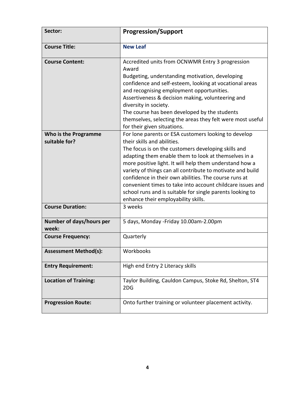| Sector:                               | <b>Progression/Support</b>                                                                                                                                                                                                                                                                                                                                                                                                                                                                                                                             |
|---------------------------------------|--------------------------------------------------------------------------------------------------------------------------------------------------------------------------------------------------------------------------------------------------------------------------------------------------------------------------------------------------------------------------------------------------------------------------------------------------------------------------------------------------------------------------------------------------------|
| <b>Course Title:</b>                  | <b>New Leaf</b>                                                                                                                                                                                                                                                                                                                                                                                                                                                                                                                                        |
| <b>Course Content:</b>                | Accredited units from OCNWMR Entry 3 progression<br>Award<br>Budgeting, understanding motivation, developing<br>confidence and self-esteem, looking at vocational areas<br>and recognising employment opportunities.<br>Assertiveness & decision making, volunteering and<br>diversity in society.<br>The course has been developed by the students<br>themselves, selecting the areas they felt were most useful<br>for their given situations.                                                                                                       |
| Who is the Programme<br>suitable for? | For lone parents or ESA customers looking to develop<br>their skills and abilities.<br>The focus is on the customers developing skills and<br>adapting them enable them to look at themselves in a<br>more positive light. It will help them understand how a<br>variety of things can all contribute to motivate and build<br>confidence in their own abilities. The course runs at<br>convenient times to take into account childcare issues and<br>school runs and is suitable for single parents looking to<br>enhance their employability skills. |
| <b>Course Duration:</b>               | 3 weeks                                                                                                                                                                                                                                                                                                                                                                                                                                                                                                                                                |
| Number of days/hours per<br>week:     | 5 days, Monday - Friday 10.00am-2.00pm                                                                                                                                                                                                                                                                                                                                                                                                                                                                                                                 |
| <b>Course Frequency:</b>              | Quarterly                                                                                                                                                                                                                                                                                                                                                                                                                                                                                                                                              |
| <b>Assessment Method(s):</b>          | Workbooks                                                                                                                                                                                                                                                                                                                                                                                                                                                                                                                                              |
| <b>Entry Requirement:</b>             | High end Entry 2 Literacy skills                                                                                                                                                                                                                                                                                                                                                                                                                                                                                                                       |
| <b>Location of Training:</b>          | Taylor Building, Cauldon Campus, Stoke Rd, Shelton, ST4<br>2DG                                                                                                                                                                                                                                                                                                                                                                                                                                                                                         |
| <b>Progression Route:</b>             | Onto further training or volunteer placement activity.                                                                                                                                                                                                                                                                                                                                                                                                                                                                                                 |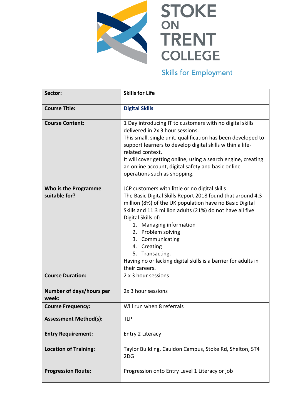

# STOKE **TRENT COLLEGE**

| Sector:                                      | <b>Skills for Life</b>                                                                                                                                                                                                                                                                                                                                                                                                                                          |
|----------------------------------------------|-----------------------------------------------------------------------------------------------------------------------------------------------------------------------------------------------------------------------------------------------------------------------------------------------------------------------------------------------------------------------------------------------------------------------------------------------------------------|
| <b>Course Title:</b>                         | <b>Digital Skills</b>                                                                                                                                                                                                                                                                                                                                                                                                                                           |
| <b>Course Content:</b>                       | 1 Day introducing IT to customers with no digital skills<br>delivered in 2x 3 hour sessions.<br>This small, single unit, qualification has been developed to<br>support learners to develop digital skills within a life-<br>related context.<br>It will cover getting online, using a search engine, creating<br>an online account, digital safety and basic online<br>operations such as shopping.                                                            |
| <b>Who is the Programme</b><br>suitable for? | JCP customers with little or no digital skills<br>The Basic Digital Skills Report 2018 found that around 4.3<br>million (8%) of the UK population have no Basic Digital<br>Skills and 11.3 million adults (21%) do not have all five<br>Digital Skills of:<br><b>Managing information</b><br>1.<br>2. Problem solving<br>3. Communicating<br>4. Creating<br>5. Transacting.<br>Having no or lacking digital skills is a barrier for adults in<br>their careers. |
| <b>Course Duration:</b>                      | 2 x 3 hour sessions                                                                                                                                                                                                                                                                                                                                                                                                                                             |
| Number of days/hours per<br>week:            | 2x 3 hour sessions                                                                                                                                                                                                                                                                                                                                                                                                                                              |
| <b>Course Frequency:</b>                     | Will run when 8 referrals                                                                                                                                                                                                                                                                                                                                                                                                                                       |
| <b>Assessment Method(s):</b>                 | <b>ILP</b>                                                                                                                                                                                                                                                                                                                                                                                                                                                      |
| <b>Entry Requirement:</b>                    | Entry 2 Literacy                                                                                                                                                                                                                                                                                                                                                                                                                                                |
| <b>Location of Training:</b>                 | Taylor Building, Cauldon Campus, Stoke Rd, Shelton, ST4<br>2DG                                                                                                                                                                                                                                                                                                                                                                                                  |
| <b>Progression Route:</b>                    | Progression onto Entry Level 1 Literacy or job                                                                                                                                                                                                                                                                                                                                                                                                                  |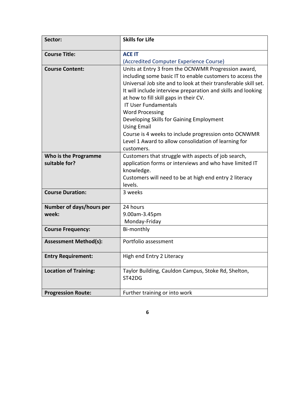| Sector:                                      | <b>Skills for Life</b>                                                                                                                                                                                                                                                                                                                                                                                                                                                                                                                                 |
|----------------------------------------------|--------------------------------------------------------------------------------------------------------------------------------------------------------------------------------------------------------------------------------------------------------------------------------------------------------------------------------------------------------------------------------------------------------------------------------------------------------------------------------------------------------------------------------------------------------|
| <b>Course Title:</b>                         | <b>ACE IT</b>                                                                                                                                                                                                                                                                                                                                                                                                                                                                                                                                          |
|                                              | (Accredited Computer Experience Course)                                                                                                                                                                                                                                                                                                                                                                                                                                                                                                                |
| <b>Course Content:</b>                       | Units at Entry 3 from the OCNWMR Progression award,<br>including some basic IT to enable customers to access the<br>Universal Job site and to look at their transferable skill set.<br>It will include interview preparation and skills and looking<br>at how to fill skill gaps in their CV.<br><b>IT User Fundamentals</b><br><b>Word Processing</b><br>Developing Skills for Gaining Employment<br><b>Using Email</b><br>Course is 4 weeks to include progression onto OCNWMR<br>Level 1 Award to allow consolidation of learning for<br>customers. |
| <b>Who is the Programme</b><br>suitable for? | Customers that struggle with aspects of job search,<br>application forms or interviews and who have limited IT<br>knowledge.<br>Customers will need to be at high end entry 2 literacy<br>levels.                                                                                                                                                                                                                                                                                                                                                      |
| <b>Course Duration:</b>                      | 3 weeks                                                                                                                                                                                                                                                                                                                                                                                                                                                                                                                                                |
| Number of days/hours per                     | 24 hours                                                                                                                                                                                                                                                                                                                                                                                                                                                                                                                                               |
| week:                                        | 9.00am-3.45pm                                                                                                                                                                                                                                                                                                                                                                                                                                                                                                                                          |
|                                              | Monday-Friday                                                                                                                                                                                                                                                                                                                                                                                                                                                                                                                                          |
| <b>Course Frequency:</b>                     | Bi-monthly                                                                                                                                                                                                                                                                                                                                                                                                                                                                                                                                             |
| <b>Assessment Method(s):</b>                 | Portfolio assessment                                                                                                                                                                                                                                                                                                                                                                                                                                                                                                                                   |
| <b>Entry Requirement:</b>                    | High end Entry 2 Literacy                                                                                                                                                                                                                                                                                                                                                                                                                                                                                                                              |
| <b>Location of Training:</b>                 | Taylor Building, Cauldon Campus, Stoke Rd, Shelton,<br>ST42DG                                                                                                                                                                                                                                                                                                                                                                                                                                                                                          |
| <b>Progression Route:</b>                    | Further training or into work                                                                                                                                                                                                                                                                                                                                                                                                                                                                                                                          |

**6**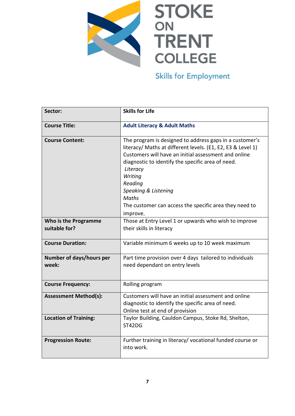

| Sector:                               | <b>Skills for Life</b>                                                                                                                                                                                                                                                                                                                                                              |
|---------------------------------------|-------------------------------------------------------------------------------------------------------------------------------------------------------------------------------------------------------------------------------------------------------------------------------------------------------------------------------------------------------------------------------------|
| <b>Course Title:</b>                  | <b>Adult Literacy &amp; Adult Maths</b>                                                                                                                                                                                                                                                                                                                                             |
| <b>Course Content:</b>                | The program is designed to address gaps in a customer's<br>literacy/ Maths at different levels. (E1, E2, E3 & Level 1)<br>Customers will have an initial assessment and online<br>diagnostic to identify the specific area of need.<br>Literacy<br>Writing<br>Reading<br>Speaking & Listening<br><b>Maths</b><br>The customer can access the specific area they need to<br>improve. |
| Who is the Programme<br>suitable for? | Those at Entry Level 1 or upwards who wish to improve<br>their skills in literacy                                                                                                                                                                                                                                                                                                   |
| <b>Course Duration:</b>               | Variable minimum 6 weeks up to 10 week maximum                                                                                                                                                                                                                                                                                                                                      |
| Number of days/hours per<br>week:     | Part time provision over 4 days tailored to individuals<br>need dependant on entry levels                                                                                                                                                                                                                                                                                           |
| <b>Course Frequency:</b>              | Rolling program                                                                                                                                                                                                                                                                                                                                                                     |
| <b>Assessment Method(s):</b>          | Customers will have an initial assessment and online<br>diagnostic to identify the specific area of need.<br>Online test at end of provision                                                                                                                                                                                                                                        |
| <b>Location of Training:</b>          | Taylor Building, Cauldon Campus, Stoke Rd, Shelton,<br>ST42DG                                                                                                                                                                                                                                                                                                                       |
| <b>Progression Route:</b>             | Further training in literacy/ vocational funded course or<br>into work.                                                                                                                                                                                                                                                                                                             |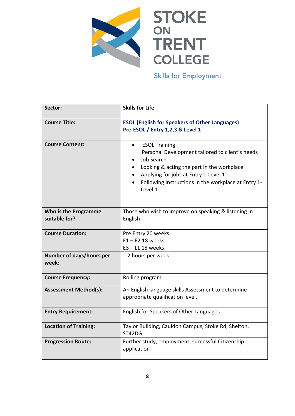

| Sector:                               | <b>Skills for Life</b>                                                                                                                                                                                                                                     |
|---------------------------------------|------------------------------------------------------------------------------------------------------------------------------------------------------------------------------------------------------------------------------------------------------------|
| <b>Course Title:</b>                  | <b>ESOL (English for Speakers of Other Languages)</b><br>Pre-ESOL / Entry 1,2,3 & Level 1                                                                                                                                                                  |
| <b>Course Content:</b>                | <b>ESOL Training</b><br>$\bullet$<br>Personal Development tailored to client's needs<br>Job Search<br>Looking & acting the part in the workplace<br>Applying for jobs at Entry 1-Level 1<br>Following Instructions in the workplace at Entry 1-<br>Level 1 |
| Who is the Programme<br>suitable for? | Those who wish to improve on speaking & listening in<br>English                                                                                                                                                                                            |
| <b>Course Duration:</b>               | Pre Entry 20 weeks<br>$E1 - E2$ 18 weeks<br>$E3 - L1$ 18 weeks                                                                                                                                                                                             |
| Number of days/hours per<br>week:     | 12 hours per week                                                                                                                                                                                                                                          |
| <b>Course Frequency:</b>              | Rolling program                                                                                                                                                                                                                                            |
| <b>Assessment Method(s):</b>          | An English language skills Assessment to determine<br>appropriate qualification level.                                                                                                                                                                     |
| <b>Entry Requirement:</b>             | English for Speakers of Other Languages                                                                                                                                                                                                                    |
| <b>Location of Training:</b>          | Taylor Building, Cauldon Campus, Stoke Rd, Shelton,<br>ST42DG                                                                                                                                                                                              |
| <b>Progression Route:</b>             | Further study, employment, successful Citizenship<br>application                                                                                                                                                                                           |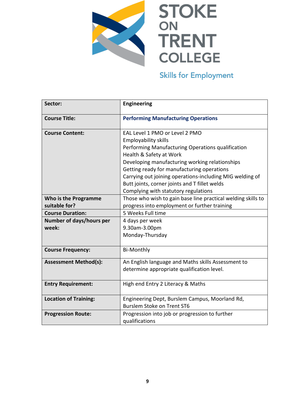

| Sector:                                      | <b>Engineering</b>                                                                                                                                                                                                                                                                                                                                                                                 |
|----------------------------------------------|----------------------------------------------------------------------------------------------------------------------------------------------------------------------------------------------------------------------------------------------------------------------------------------------------------------------------------------------------------------------------------------------------|
| <b>Course Title:</b>                         | <b>Performing Manufacturing Operations</b>                                                                                                                                                                                                                                                                                                                                                         |
| <b>Course Content:</b>                       | EAL Level 1 PMO or Level 2 PMO<br><b>Employability skills</b><br>Performing Manufacturing Operations qualification<br>Health & Safety at Work<br>Developing manufacturing working relationships<br>Getting ready for manufacturing operations<br>Carrying out joining operations-including MIG welding of<br>Butt joints, corner joints and T fillet welds<br>Complying with statutory regulations |
| <b>Who is the Programme</b><br>suitable for? | Those who wish to gain base line practical welding skills to<br>progress into employment or further training                                                                                                                                                                                                                                                                                       |
| <b>Course Duration:</b>                      | 5 Weeks Full time                                                                                                                                                                                                                                                                                                                                                                                  |
| <b>Number of days/hours per</b><br>week:     | 4 days per week<br>9.30am-3.00pm<br>Monday-Thursday                                                                                                                                                                                                                                                                                                                                                |
| <b>Course Frequency:</b>                     | <b>Bi-Monthly</b>                                                                                                                                                                                                                                                                                                                                                                                  |
| <b>Assessment Method(s):</b>                 | An English language and Maths skills Assessment to<br>determine appropriate qualification level.                                                                                                                                                                                                                                                                                                   |
| <b>Entry Requirement:</b>                    | High end Entry 2 Literacy & Maths                                                                                                                                                                                                                                                                                                                                                                  |
| <b>Location of Training:</b>                 | Engineering Dept, Burslem Campus, Moorland Rd,<br><b>Burslem Stoke on Trent ST6</b>                                                                                                                                                                                                                                                                                                                |
| <b>Progression Route:</b>                    | Progression into job or progression to further<br>qualifications                                                                                                                                                                                                                                                                                                                                   |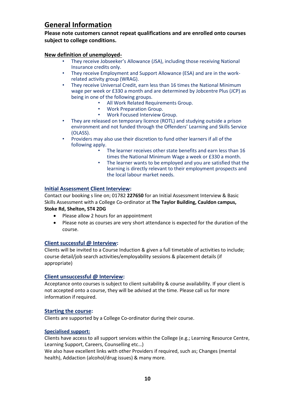### **General Information**

**Please note customers cannot repeat qualifications and are enrolled onto courses subject to college conditions.**

#### **New definition of unemployed-**

- They receive Jobseeker's Allowance (JSA), including those receiving National Insurance credits only.
- They receive Employment and Support Allowance (ESA) and are in the workrelated activity group (WRAG).
- They receive Universal Credit, earn less than 16 times the National Minimum wage per week or £330 a month and are determined by Jobcentre Plus (JCP) as being in one of the following groups.
	- All Work Related Requirements Group.
	- Work Preparation Group.
	- Work Focused Interview Group.
- They are released on temporary licence (ROTL) and studying outside a prison environment and not funded through the Offenders' Learning and Skills Service (OLASS).
- Providers may also use their discretion to fund other learners if all of the following apply.
	- The learner receives other state benefits and earn less than 16 times the National Minimum Wage a week or £330 a month.
	- The learner wants to be employed and you are satisfied that the learning is directly relevant to their employment prospects and the local labour market needs.

#### **Initial Assessment Client Interview:**

Contact our booking s line on; 01782 **227650** for an Initial Assessment Interview & Basic Skills Assessment with a College Co-ordinator at **The Taylor Building, Cauldon campus, Stoke Rd, Shelton, ST4 2DG**

- Please allow 2 hours for an appointment
- Please note as courses are very short attendance is expected for the duration of the course.

#### **Client successful @ Interview:**

Clients will be invited to a Course Induction & given a full timetable of activities to include; course detail/job search activities/employability sessions & placement details (if appropriate)

#### **Client unsuccessful @ Interview:**

Acceptance onto courses is subject to client suitability & course availability. If your client is not accepted onto a course, they will be advised at the time. Please call us for more information if required.

#### **Starting the course:**

Clients are supported by a College Co-ordinator during their course.

#### **Specialised support:**

Clients have access to all support services within the College (e.g.; Learning Resource Centre, Learning Support, Careers, Counselling etc…)

We also have excellent links with other Providers if required, such as; Changes (mental health), Addaction (alcohol/drug issues) & many more.